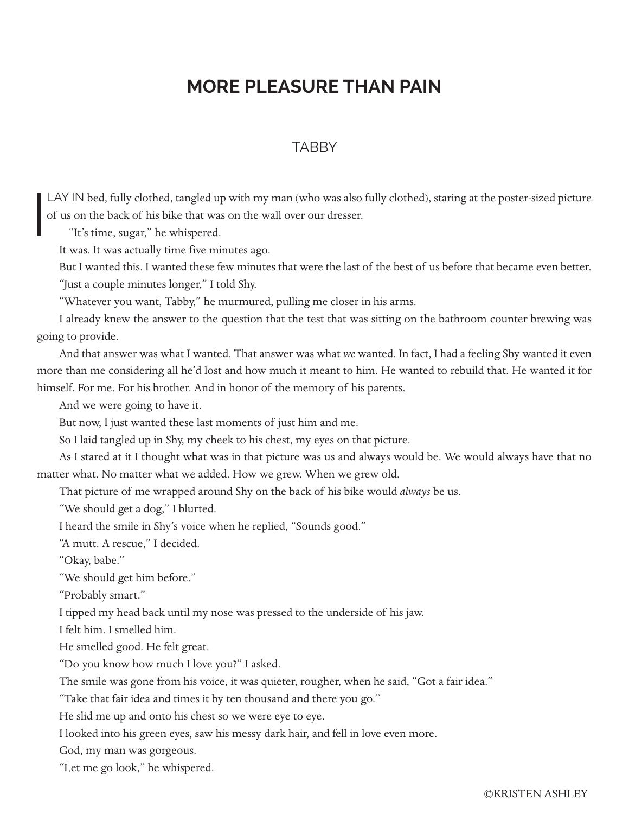## **MORE PLEASURE THAN PAIN**

## **TARRY**

LAY IN bed, fully clothed, tangled up with my man (who was also fully clothed), staring at the poster-sized picture of us on the back of his bike that was on the wall over our dresser.

"It's time, sugar," he whispered.

It was. It was actually time five minutes ago.

But I wanted this. I wanted these few minutes that were the last of the best of us before that became even better.

"Just a couple minutes longer," I told Shy.

"Whatever you want, Tabby," he murmured, pulling me closer in his arms.

I already knew the answer to the question that the test that was sitting on the bathroom counter brewing was going to provide.

And that answer was what I wanted. That answer was what *we* wanted. In fact, I had a feeling Shy wanted it even more than me considering all he'd lost and how much it meant to him. He wanted to rebuild that. He wanted it for himself. For me. For his brother. And in honor of the memory of his parents.

And we were going to have it.

But now, I just wanted these last moments of just him and me.

So I laid tangled up in Shy, my cheek to his chest, my eyes on that picture.

As I stared at it I thought what was in that picture was us and always would be. We would always have that no matter what. No matter what we added. How we grew. When we grew old.

That picture of me wrapped around Shy on the back of his bike would *always* be us.

"We should get a dog," I blurted.

I heard the smile in Shy's voice when he replied, "Sounds good."

"A mutt. A rescue," I decided.

"Okay, babe."

"We should get him before."

"Probably smart."

I tipped my head back until my nose was pressed to the underside of his jaw.

I felt him. I smelled him.

He smelled good. He felt great.

"Do you know how much I love you?" I asked.

The smile was gone from his voice, it was quieter, rougher, when he said, "Got a fair idea."

"Take that fair idea and times it by ten thousand and there you go."

He slid me up and onto his chest so we were eye to eye.

I looked into his green eyes, saw his messy dark hair, and fell in love even more.

God, my man was gorgeous.

"Let me go look," he whispered.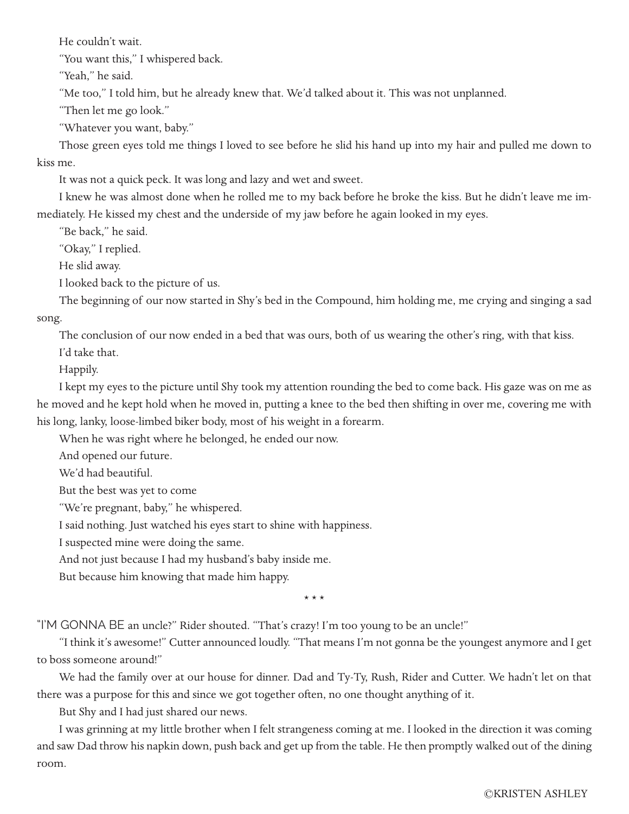He couldn't wait.

"You want this," I whispered back.

"Yeah," he said.

"Me too," I told him, but he already knew that. We'd talked about it. This was not unplanned.

"Then let me go look."

"Whatever you want, baby."

Those green eyes told me things I loved to see before he slid his hand up into my hair and pulled me down to kiss me.

It was not a quick peck. It was long and lazy and wet and sweet.

I knew he was almost done when he rolled me to my back before he broke the kiss. But he didn't leave me immediately. He kissed my chest and the underside of my jaw before he again looked in my eyes.

"Be back," he said.

"Okay," I replied.

He slid away.

I looked back to the picture of us.

The beginning of our now started in Shy's bed in the Compound, him holding me, me crying and singing a sad song.

The conclusion of our now ended in a bed that was ours, both of us wearing the other's ring, with that kiss.

I'd take that.

Happily.

I kept my eyes to the picture until Shy took my attention rounding the bed to come back. His gaze was on me as he moved and he kept hold when he moved in, putting a knee to the bed then shifting in over me, covering me with his long, lanky, loose-limbed biker body, most of his weight in a forearm.

When he was right where he belonged, he ended our now.

And opened our future.

We'd had beautiful.

But the best was yet to come

"We're pregnant, baby," he whispered.

I said nothing. Just watched his eyes start to shine with happiness.

I suspected mine were doing the same.

And not just because I had my husband's baby inside me.

But because him knowing that made him happy.

\* \* \*

"I'M GONNA BE an uncle?" Rider shouted. "That's crazy! I'm too young to be an uncle!"

"I think it's awesome!" Cutter announced loudly. "That means I'm not gonna be the youngest anymore and I get to boss someone around!"

We had the family over at our house for dinner. Dad and Ty-Ty, Rush, Rider and Cutter. We hadn't let on that there was a purpose for this and since we got together often, no one thought anything of it.

But Shy and I had just shared our news.

I was grinning at my little brother when I felt strangeness coming at me. I looked in the direction it was coming and saw Dad throw his napkin down, push back and get up from the table. He then promptly walked out of the dining room.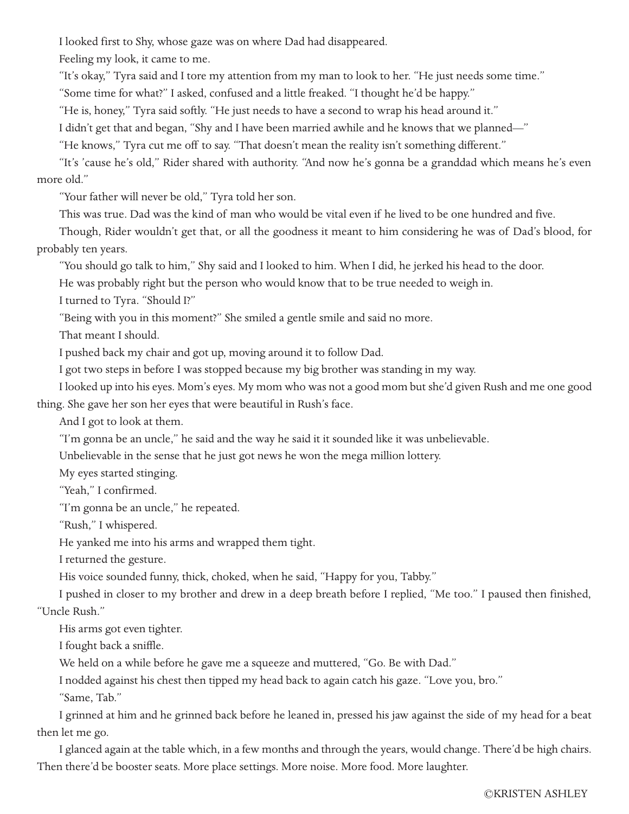I looked first to Shy, whose gaze was on where Dad had disappeared.

Feeling my look, it came to me.

"It's okay," Tyra said and I tore my attention from my man to look to her. "He just needs some time."

"Some time for what?" I asked, confused and a little freaked. "I thought he'd be happy."

"He is, honey," Tyra said softly. "He just needs to have a second to wrap his head around it."

I didn't get that and began, "Shy and I have been married awhile and he knows that we planned—"

"He knows," Tyra cut me off to say. "That doesn't mean the reality isn't something different."

"It's 'cause he's old," Rider shared with authority. "And now he's gonna be a granddad which means he's even more old."

"Your father will never be old," Tyra told her son.

This was true. Dad was the kind of man who would be vital even if he lived to be one hundred and five.

Though, Rider wouldn't get that, or all the goodness it meant to him considering he was of Dad's blood, for probably ten years.

"You should go talk to him," Shy said and I looked to him. When I did, he jerked his head to the door.

He was probably right but the person who would know that to be true needed to weigh in.

I turned to Tyra. "Should I?"

"Being with you in this moment?" She smiled a gentle smile and said no more.

That meant I should.

I pushed back my chair and got up, moving around it to follow Dad.

I got two steps in before I was stopped because my big brother was standing in my way.

I looked up into his eyes. Mom's eyes. My mom who was not a good mom but she'd given Rush and me one good thing. She gave her son her eyes that were beautiful in Rush's face.

And I got to look at them.

"I'm gonna be an uncle," he said and the way he said it it sounded like it was unbelievable.

Unbelievable in the sense that he just got news he won the mega million lottery.

My eyes started stinging.

"Yeah," I confirmed.

"I'm gonna be an uncle," he repeated.

"Rush," I whispered.

He yanked me into his arms and wrapped them tight.

I returned the gesture.

His voice sounded funny, thick, choked, when he said, "Happy for you, Tabby."

I pushed in closer to my brother and drew in a deep breath before I replied, "Me too." I paused then finished, "Uncle Rush."

His arms got even tighter.

I fought back a sniffle.

We held on a while before he gave me a squeeze and muttered, "Go. Be with Dad."

I nodded against his chest then tipped my head back to again catch his gaze. "Love you, bro."

"Same, Tab."

I grinned at him and he grinned back before he leaned in, pressed his jaw against the side of my head for a beat then let me go.

I glanced again at the table which, in a few months and through the years, would change. There'd be high chairs. Then there'd be booster seats. More place settings. More noise. More food. More laughter.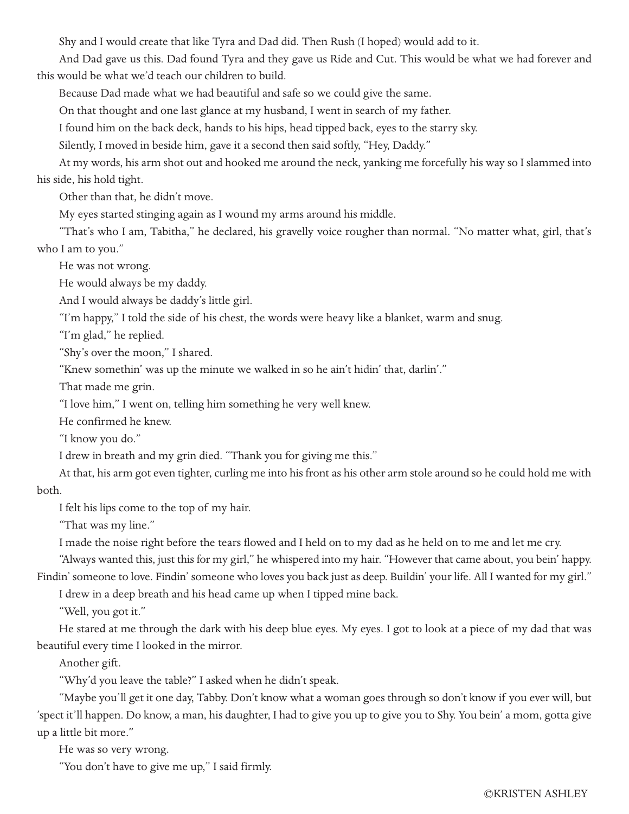Shy and I would create that like Tyra and Dad did. Then Rush (I hoped) would add to it.

And Dad gave us this. Dad found Tyra and they gave us Ride and Cut. This would be what we had forever and this would be what we'd teach our children to build.

Because Dad made what we had beautiful and safe so we could give the same.

On that thought and one last glance at my husband, I went in search of my father.

I found him on the back deck, hands to his hips, head tipped back, eyes to the starry sky.

Silently, I moved in beside him, gave it a second then said softly, "Hey, Daddy."

At my words, his arm shot out and hooked me around the neck, yanking me forcefully his way so I slammed into his side, his hold tight.

Other than that, he didn't move.

My eyes started stinging again as I wound my arms around his middle.

"That's who I am, Tabitha," he declared, his gravelly voice rougher than normal. "No matter what, girl, that's who I am to you."

He was not wrong.

He would always be my daddy.

And I would always be daddy's little girl.

"I'm happy," I told the side of his chest, the words were heavy like a blanket, warm and snug.

"I'm glad," he replied.

"Shy's over the moon," I shared.

"Knew somethin' was up the minute we walked in so he ain't hidin' that, darlin'."

That made me grin.

"I love him," I went on, telling him something he very well knew.

He confirmed he knew.

"I know you do."

I drew in breath and my grin died. "Thank you for giving me this."

At that, his arm got even tighter, curling me into his front as his other arm stole around so he could hold me with both.

I felt his lips come to the top of my hair.

"That was my line."

I made the noise right before the tears flowed and I held on to my dad as he held on to me and let me cry.

"Always wanted this, just this for my girl," he whispered into my hair. "However that came about, you bein' happy.

Findin' someone to love. Findin' someone who loves you back just as deep. Buildin' your life. All I wanted for my girl."

I drew in a deep breath and his head came up when I tipped mine back.

"Well, you got it."

He stared at me through the dark with his deep blue eyes. My eyes. I got to look at a piece of my dad that was beautiful every time I looked in the mirror.

Another gift.

"Why'd you leave the table?" I asked when he didn't speak.

"Maybe you'll get it one day, Tabby. Don't know what a woman goes through so don't know if you ever will, but 'spect it'll happen. Do know, a man, his daughter, I had to give you up to give you to Shy. You bein' a mom, gotta give up a little bit more."

He was so very wrong.

"You don't have to give me up," I said firmly.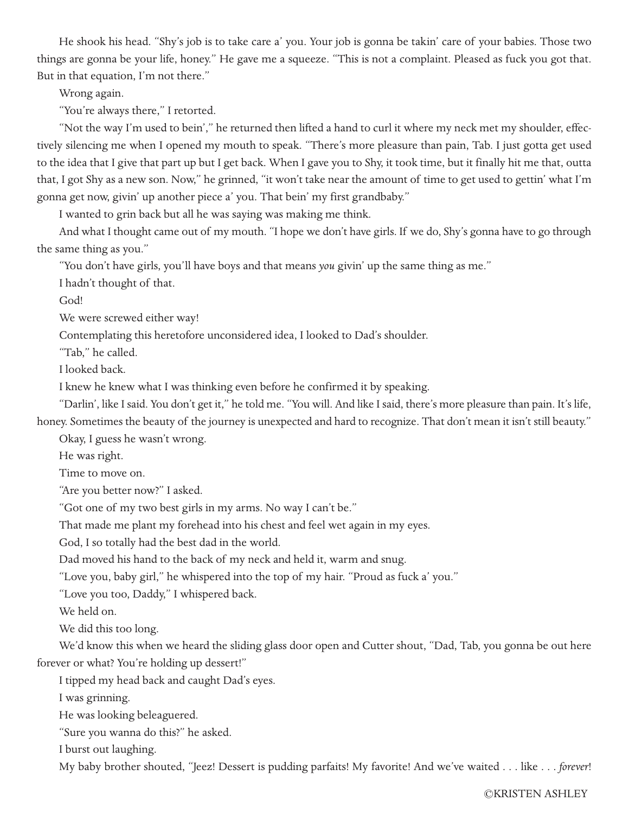He shook his head. "Shy's job is to take care a' you. Your job is gonna be takin' care of your babies. Those two things are gonna be your life, honey." He gave me a squeeze. "This is not a complaint. Pleased as fuck you got that. But in that equation, I'm not there."

Wrong again.

"You're always there," I retorted.

"Not the way I'm used to bein'," he returned then lifted a hand to curl it where my neck met my shoulder, effectively silencing me when I opened my mouth to speak. "There's more pleasure than pain, Tab. I just gotta get used to the idea that I give that part up but I get back. When I gave you to Shy, it took time, but it finally hit me that, outta that, I got Shy as a new son. Now," he grinned, "it won't take near the amount of time to get used to gettin' what I'm gonna get now, givin' up another piece a' you. That bein' my first grandbaby."

I wanted to grin back but all he was saying was making me think.

And what I thought came out of my mouth. "I hope we don't have girls. If we do, Shy's gonna have to go through the same thing as you."

"You don't have girls, you'll have boys and that means *you* givin' up the same thing as me."

I hadn't thought of that.

God!

We were screwed either way!

Contemplating this heretofore unconsidered idea, I looked to Dad's shoulder.

"Tab," he called.

I looked back.

I knew he knew what I was thinking even before he confirmed it by speaking.

"Darlin', like I said. You don't get it," he told me. "You will. And like I said, there's more pleasure than pain. It's life, honey. Sometimes the beauty of the journey is unexpected and hard to recognize. That don't mean it isn't still beauty."

Okay, I guess he wasn't wrong.

He was right.

Time to move on.

"Are you better now?" I asked.

"Got one of my two best girls in my arms. No way I can't be."

That made me plant my forehead into his chest and feel wet again in my eyes.

God, I so totally had the best dad in the world.

Dad moved his hand to the back of my neck and held it, warm and snug.

"Love you, baby girl," he whispered into the top of my hair. "Proud as fuck a' you."

"Love you too, Daddy," I whispered back.

We held on.

We did this too long.

We'd know this when we heard the sliding glass door open and Cutter shout, "Dad, Tab, you gonna be out here forever or what? You're holding up dessert!"

I tipped my head back and caught Dad's eyes.

I was grinning.

He was looking beleaguered.

"Sure you wanna do this?" he asked.

I burst out laughing.

My baby brother shouted, "Jeez! Dessert is pudding parfaits! My favorite! And we've waited . . . like . . . *forever*!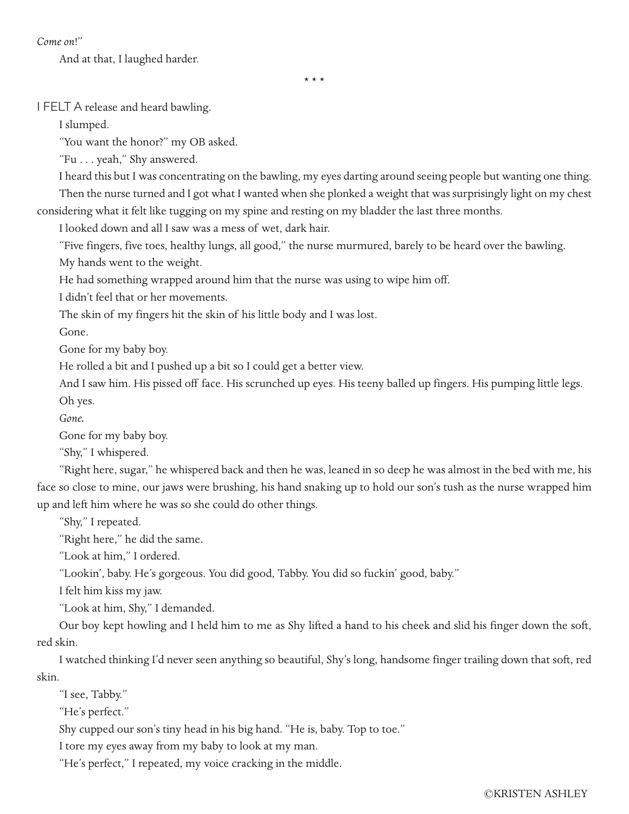And at that, I laughed harder.

 $\star$   $\star$   $\star$ 

## I FELT A release and heard bawling.

I slumped.

"You want the honor?" my OB asked.

"Fu . . . yeah," Shy answered.

I heard this but I was concentrating on the bawling, my eyes darting around seeing people but wanting one thing. Then the nurse turned and I got what I wanted when she plonked a weight that was surprisingly light on my chest

considering what it felt like tugging on my spine and resting on my bladder the last three months.

I looked down and all I saw was a mess of wet, dark hair.

"Five fingers, five toes, healthy lungs, all good," the nurse murmured, barely to be heard over the bawling.

My hands went to the weight.

He had something wrapped around him that the nurse was using to wipe him off.

I didn't feel that or her movements.

The skin of my fingers hit the skin of his little body and I was lost.

Gone.

Gone for my baby boy.

He rolled a bit and I pushed up a bit so I could get a better view.

And I saw him. His pissed off face. His scrunched up eyes. His teeny balled up fingers. His pumping little legs. Oh yes.

*Gone.*

Gone for my baby boy.

"Shy," I whispered.

"Right here, sugar," he whispered back and then he was, leaned in so deep he was almost in the bed with me, his face so close to mine, our jaws were brushing, his hand snaking up to hold our son's tush as the nurse wrapped him up and left him where he was so she could do other things.

"Shy," I repeated.

"Right here," he did the same.

"Look at him," I ordered.

"Lookin', baby. He's gorgeous. You did good, Tabby. You did so fuckin' good, baby."

I felt him kiss my jaw.

"Look at him, Shy," I demanded.

Our boy kept howling and I held him to me as Shy lifted a hand to his cheek and slid his finger down the soft, red skin.

I watched thinking I'd never seen anything so beautiful, Shy's long, handsome finger trailing down that soft, red skin.

"I see, Tabby."

"He's perfect."

Shy cupped our son's tiny head in his big hand. "He is, baby. Top to toe."

I tore my eyes away from my baby to look at my man.

"He's perfect," I repeated, my voice cracking in the middle.